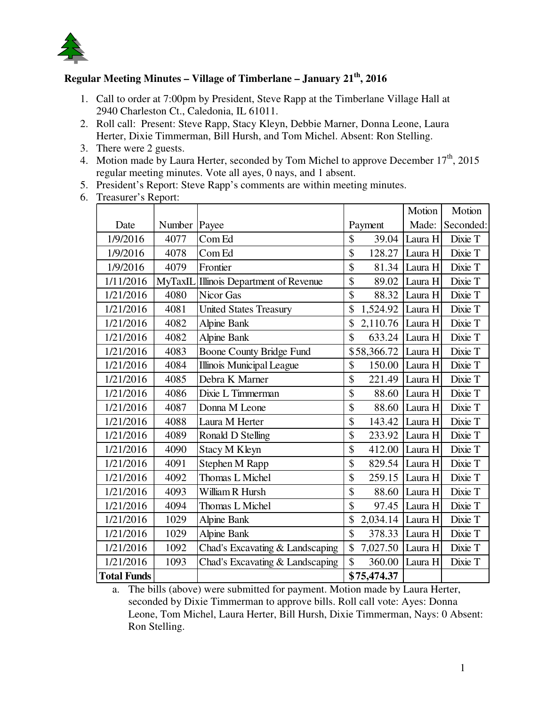

## **Regular Meeting Minutes – Village of Timberlane – January 21th, 2016**

- 1. Call to order at 7:00pm by President, Steve Rapp at the Timberlane Village Hall at 2940 Charleston Ct., Caledonia, IL 61011.
- 2. Roll call: Present: Steve Rapp, Stacy Kleyn, Debbie Marner, Donna Leone, Laura Herter, Dixie Timmerman, Bill Hursh, and Tom Michel. Absent: Ron Stelling.
- 3. There were 2 guests.
- 4. Motion made by Laura Herter, seconded by Tom Michel to approve December  $17<sup>th</sup>$ , 2015 regular meeting minutes. Vote all ayes, 0 nays, and 1 absent.
- 5. President's Report: Steve Rapp's comments are within meeting minutes.
- 6. Treasurer's Report:

|                    |        |                                        |                | Motion  | Motion    |
|--------------------|--------|----------------------------------------|----------------|---------|-----------|
| Date               | Number | Payee                                  | Payment        | Made:   | Seconded: |
| 1/9/2016           | 4077   | Com Ed                                 | \$<br>39.04    | Laura H | Dixie T   |
| 1/9/2016           | 4078   | Com Ed                                 | \$<br>128.27   | Laura H | Dixie T   |
| 1/9/2016           | 4079   | Frontier                               | \$<br>81.34    | Laura H | Dixie T   |
| 1/11/2016          |        | MyTaxIL Illinois Department of Revenue | \$<br>89.02    | Laura H | Dixie T   |
| 1/21/2016          | 4080   | Nicor Gas                              | \$<br>88.32    | Laura H | Dixie T   |
| 1/21/2016          | 4081   | <b>United States Treasury</b>          | \$<br>1,524.92 | Laura H | Dixie T   |
| 1/21/2016          | 4082   | <b>Alpine Bank</b>                     | \$<br>2,110.76 | Laura H | Dixie T   |
| 1/21/2016          | 4082   | <b>Alpine Bank</b>                     | \$<br>633.24   | Laura H | Dixie T   |
| 1/21/2016          | 4083   | Boone County Bridge Fund               | \$58,366.72    | Laura H | Dixie T   |
| 1/21/2016          | 4084   | <b>Illinois Municipal League</b>       | \$<br>150.00   | Laura H | Dixie T   |
| 1/21/2016          | 4085   | Debra K Marner                         | \$<br>221.49   | Laura H | Dixie T   |
| 1/21/2016          | 4086   | Dixie L Timmerman                      | \$<br>88.60    | Laura H | Dixie T   |
| 1/21/2016          | 4087   | Donna M Leone                          | \$<br>88.60    | Laura H | Dixie T   |
| 1/21/2016          | 4088   | Laura M Herter                         | \$<br>143.42   | Laura H | Dixie T   |
| 1/21/2016          | 4089   | Ronald D Stelling                      | \$<br>233.92   | Laura H | Dixie T   |
| 1/21/2016          | 4090   | <b>Stacy M Kleyn</b>                   | \$<br>412.00   | Laura H | Dixie T   |
| 1/21/2016          | 4091   | Stephen M Rapp                         | \$<br>829.54   | Laura H | Dixie T   |
| 1/21/2016          | 4092   | Thomas L Michel                        | \$<br>259.15   | Laura H | Dixie T   |
| 1/21/2016          | 4093   | William R Hursh                        | \$<br>88.60    | Laura H | Dixie T   |
| 1/21/2016          | 4094   | Thomas L Michel                        | \$<br>97.45    | Laura H | Dixie T   |
| 1/21/2016          | 1029   | <b>Alpine Bank</b>                     | \$<br>2,034.14 | Laura H | Dixie T   |
| 1/21/2016          | 1029   | <b>Alpine Bank</b>                     | \$<br>378.33   | Laura H | Dixie T   |
| 1/21/2016          | 1092   | Chad's Excavating & Landscaping        | \$<br>7,027.50 | Laura H | Dixie T   |
| 1/21/2016          | 1093   | Chad's Excavating & Landscaping        | \$<br>360.00   | Laura H | Dixie T   |
| <b>Total Funds</b> |        |                                        | \$75,474.37    |         |           |

a. The bills (above) were submitted for payment. Motion made by Laura Herter, seconded by Dixie Timmerman to approve bills. Roll call vote: Ayes: Donna Leone, Tom Michel, Laura Herter, Bill Hursh, Dixie Timmerman, Nays: 0 Absent: Ron Stelling.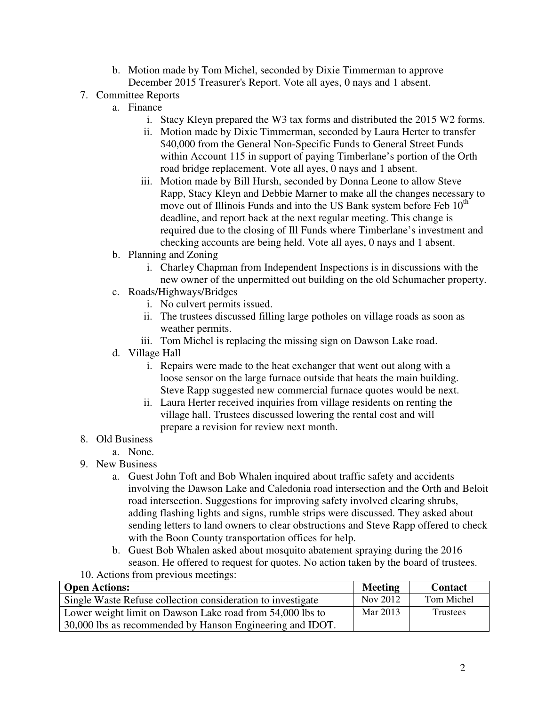- b. Motion made by Tom Michel, seconded by Dixie Timmerman to approve December 2015 Treasurer's Report. Vote all ayes, 0 nays and 1 absent.
- 7. Committee Reports
	- a. Finance
		- i. Stacy Kleyn prepared the W3 tax forms and distributed the 2015 W2 forms.
		- ii. Motion made by Dixie Timmerman, seconded by Laura Herter to transfer \$40,000 from the General Non-Specific Funds to General Street Funds within Account 115 in support of paying Timberlane's portion of the Orth road bridge replacement. Vote all ayes, 0 nays and 1 absent.
		- iii. Motion made by Bill Hursh, seconded by Donna Leone to allow Steve Rapp, Stacy Kleyn and Debbie Marner to make all the changes necessary to move out of Illinois Funds and into the US Bank system before Feb  $10<sup>th</sup>$ deadline, and report back at the next regular meeting. This change is required due to the closing of Ill Funds where Timberlane's investment and checking accounts are being held. Vote all ayes, 0 nays and 1 absent.
	- b. Planning and Zoning
		- i. Charley Chapman from Independent Inspections is in discussions with the new owner of the unpermitted out building on the old Schumacher property.
	- c. Roads/Highways/Bridges
		- i. No culvert permits issued.
		- ii. The trustees discussed filling large potholes on village roads as soon as weather permits.
		- iii. Tom Michel is replacing the missing sign on Dawson Lake road.
	- d. Village Hall
		- i. Repairs were made to the heat exchanger that went out along with a loose sensor on the large furnace outside that heats the main building. Steve Rapp suggested new commercial furnace quotes would be next.
		- ii. Laura Herter received inquiries from village residents on renting the village hall. Trustees discussed lowering the rental cost and will prepare a revision for review next month.

## 8. Old Business

- a. None.
- 9. New Business
	- a. Guest John Toft and Bob Whalen inquired about traffic safety and accidents involving the Dawson Lake and Caledonia road intersection and the Orth and Beloit road intersection. Suggestions for improving safety involved clearing shrubs, adding flashing lights and signs, rumble strips were discussed. They asked about sending letters to land owners to clear obstructions and Steve Rapp offered to check with the Boon County transportation offices for help.
	- b. Guest Bob Whalen asked about mosquito abatement spraying during the 2016 season. He offered to request for quotes. No action taken by the board of trustees.
- 10. Actions from previous meetings:

| <b>Open Actions:</b>                                        | <b>Meeting</b> | <b>Contact</b> |
|-------------------------------------------------------------|----------------|----------------|
| Single Waste Refuse collection consideration to investigate | Nov 2012       | Tom Michel     |
| Lower weight limit on Dawson Lake road from 54,000 lbs to   | Mar 2013       | Trustees       |
| 30,000 lbs as recommended by Hanson Engineering and IDOT.   |                |                |